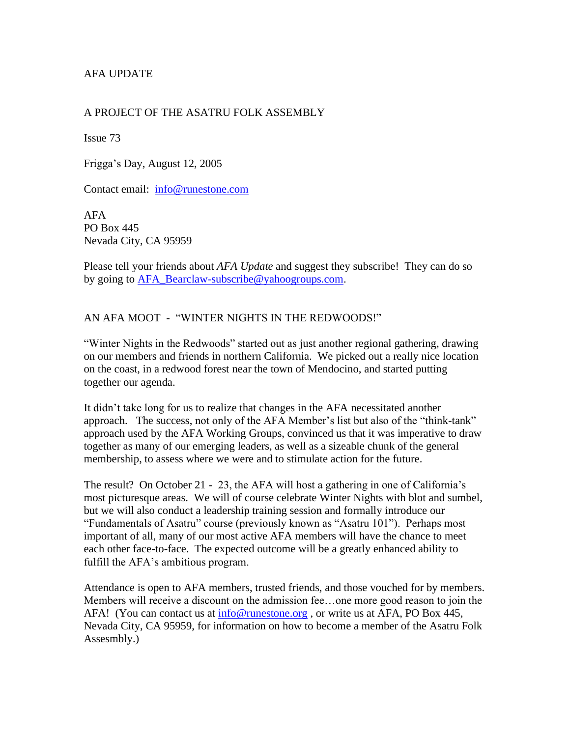# AFA UPDATE

## A PROJECT OF THE ASATRU FOLK ASSEMBLY

Issue 73

Frigga's Day, August 12, 2005

Contact email: [info@runestone.com](mailto:info@runestone.com)

AFA PO Box 445 Nevada City, CA 95959

Please tell your friends about *AFA Update* and suggest they subscribe! They can do so by going to [AFA\\_Bearclaw-subscribe@yahoogroups.com.](mailto:AFA_Bearclaw-subscribe@yahoogroups.com)

## AN AFA MOOT - "WINTER NIGHTS IN THE REDWOODS!"

"Winter Nights in the Redwoods" started out as just another regional gathering, drawing on our members and friends in northern California. We picked out a really nice location on the coast, in a redwood forest near the town of Mendocino, and started putting together our agenda.

It didn't take long for us to realize that changes in the AFA necessitated another approach. The success, not only of the AFA Member's list but also of the "think-tank" approach used by the AFA Working Groups, convinced us that it was imperative to draw together as many of our emerging leaders, as well as a sizeable chunk of the general membership, to assess where we were and to stimulate action for the future.

The result? On October 21 - 23, the AFA will host a gathering in one of California's most picturesque areas. We will of course celebrate Winter Nights with blot and sumbel, but we will also conduct a leadership training session and formally introduce our "Fundamentals of Asatru" course (previously known as "Asatru 101"). Perhaps most important of all, many of our most active AFA members will have the chance to meet each other face-to-face. The expected outcome will be a greatly enhanced ability to fulfill the AFA's ambitious program.

Attendance is open to AFA members, trusted friends, and those vouched for by members. Members will receive a discount on the admission fee…one more good reason to join the AFA! (You can contact us at [info@runestone.org](mailto:info@runestone.org) , or write us at AFA, PO Box 445, Nevada City, CA 95959, for information on how to become a member of the Asatru Folk Assesmbly.)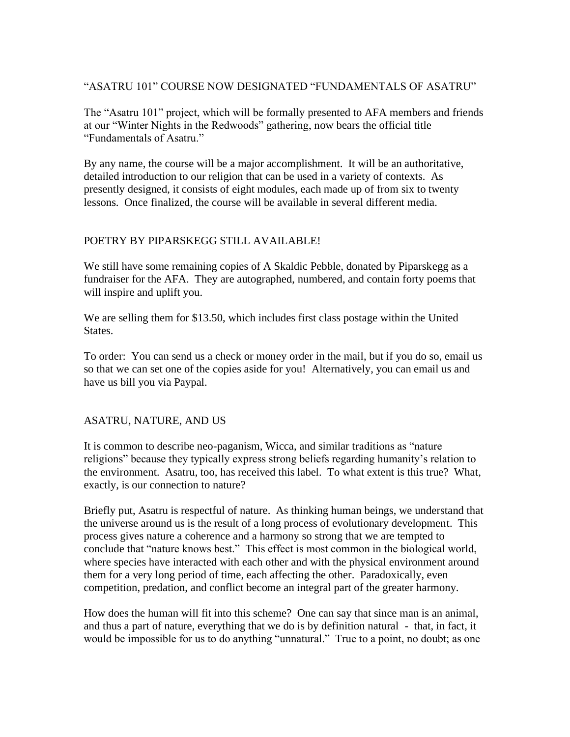## "ASATRU 101" COURSE NOW DESIGNATED "FUNDAMENTALS OF ASATRU"

The "Asatru 101" project, which will be formally presented to AFA members and friends at our "Winter Nights in the Redwoods" gathering, now bears the official title "Fundamentals of Asatru."

By any name, the course will be a major accomplishment. It will be an authoritative, detailed introduction to our religion that can be used in a variety of contexts. As presently designed, it consists of eight modules, each made up of from six to twenty lessons. Once finalized, the course will be available in several different media.

# POETRY BY PIPARSKEGG STILL AVAILABLE!

We still have some remaining copies of A Skaldic Pebble, donated by Piparskegg as a fundraiser for the AFA. They are autographed, numbered, and contain forty poems that will inspire and uplift you.

We are selling them for \$13.50, which includes first class postage within the United States.

To order: You can send us a check or money order in the mail, but if you do so, email us so that we can set one of the copies aside for you! Alternatively, you can email us and have us bill you via Paypal.

#### ASATRU, NATURE, AND US

It is common to describe neo-paganism, Wicca, and similar traditions as "nature religions" because they typically express strong beliefs regarding humanity's relation to the environment. Asatru, too, has received this label. To what extent is this true? What, exactly, is our connection to nature?

Briefly put, Asatru is respectful of nature. As thinking human beings, we understand that the universe around us is the result of a long process of evolutionary development. This process gives nature a coherence and a harmony so strong that we are tempted to conclude that "nature knows best." This effect is most common in the biological world, where species have interacted with each other and with the physical environment around them for a very long period of time, each affecting the other. Paradoxically, even competition, predation, and conflict become an integral part of the greater harmony.

How does the human will fit into this scheme? One can say that since man is an animal, and thus a part of nature, everything that we do is by definition natural - that, in fact, it would be impossible for us to do anything "unnatural." True to a point, no doubt; as one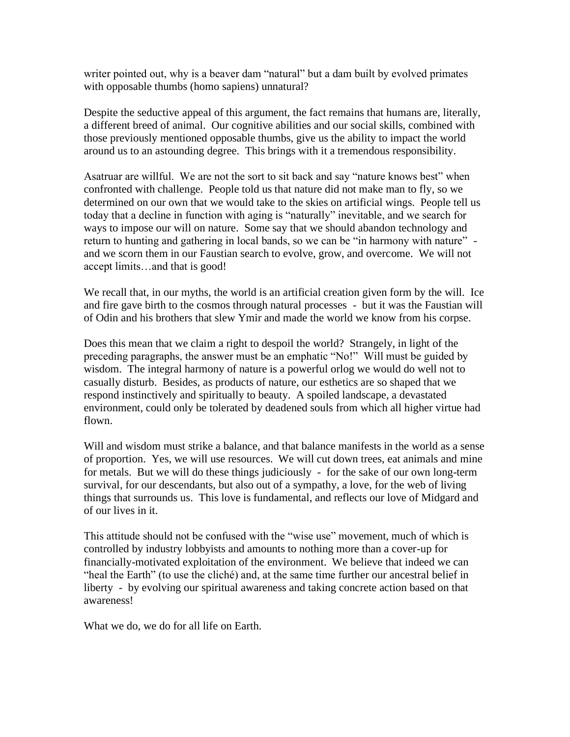writer pointed out, why is a beaver dam "natural" but a dam built by evolved primates with opposable thumbs (homo sapiens) unnatural?

Despite the seductive appeal of this argument, the fact remains that humans are, literally, a different breed of animal. Our cognitive abilities and our social skills, combined with those previously mentioned opposable thumbs, give us the ability to impact the world around us to an astounding degree. This brings with it a tremendous responsibility.

Asatruar are willful. We are not the sort to sit back and say "nature knows best" when confronted with challenge. People told us that nature did not make man to fly, so we determined on our own that we would take to the skies on artificial wings. People tell us today that a decline in function with aging is "naturally" inevitable, and we search for ways to impose our will on nature. Some say that we should abandon technology and return to hunting and gathering in local bands, so we can be "in harmony with nature" and we scorn them in our Faustian search to evolve, grow, and overcome. We will not accept limits…and that is good!

We recall that, in our myths, the world is an artificial creation given form by the will. Ice and fire gave birth to the cosmos through natural processes - but it was the Faustian will of Odin and his brothers that slew Ymir and made the world we know from his corpse.

Does this mean that we claim a right to despoil the world? Strangely, in light of the preceding paragraphs, the answer must be an emphatic "No!" Will must be guided by wisdom. The integral harmony of nature is a powerful orlog we would do well not to casually disturb. Besides, as products of nature, our esthetics are so shaped that we respond instinctively and spiritually to beauty. A spoiled landscape, a devastated environment, could only be tolerated by deadened souls from which all higher virtue had flown.

Will and wisdom must strike a balance, and that balance manifests in the world as a sense of proportion. Yes, we will use resources. We will cut down trees, eat animals and mine for metals. But we will do these things judiciously - for the sake of our own long-term survival, for our descendants, but also out of a sympathy, a love, for the web of living things that surrounds us. This love is fundamental, and reflects our love of Midgard and of our lives in it.

This attitude should not be confused with the "wise use" movement, much of which is controlled by industry lobbyists and amounts to nothing more than a cover-up for financially-motivated exploitation of the environment. We believe that indeed we can "heal the Earth" (to use the cliché) and, at the same time further our ancestral belief in liberty - by evolving our spiritual awareness and taking concrete action based on that awareness!

What we do, we do for all life on Earth.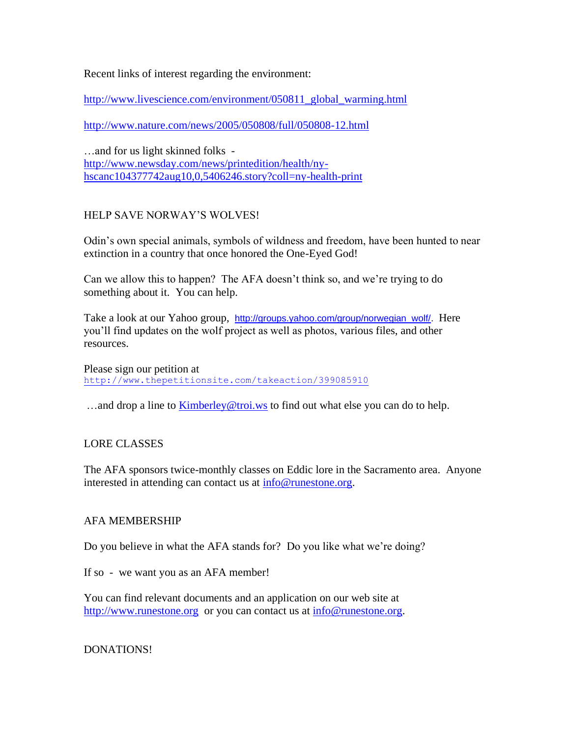Recent links of interest regarding the environment:

[http://www.livescience.com/environment/050811\\_global\\_warming.html](http://www.livescience.com/environment/050811_global_warming.html)

<http://www.nature.com/news/2005/050808/full/050808-12.html>

…and for us light skinned folks [http://www.newsday.com/news/printedition/health/ny](http://www.newsday.com/news/printedition/health/ny-hscanc104377742aug10,0,5406246.story?coll=ny-health-print)[hscanc104377742aug10,0,5406246.story?coll=ny-health-print](http://www.newsday.com/news/printedition/health/ny-hscanc104377742aug10,0,5406246.story?coll=ny-health-print)

## HELP SAVE NORWAY'S WOLVES!

Odin's own special animals, symbols of wildness and freedom, have been hunted to near extinction in a country that once honored the One-Eyed God!

Can we allow this to happen? The AFA doesn't think so, and we're trying to do something about it. You can help.

Take a look at our Yahoo group, [http://groups.yahoo.com/group/norwegian\\_wolf/.](http://groups.yahoo.com/group/norwegian_wolf/) Here you'll find updates on the wolf project as well as photos, various files, and other resources.

Please sign our petition at <http://www.thepetitionsite.com/takeaction/399085910>

…and drop a line to [Kimberley@troi.ws](mailto:Kimberley@troi.ws) to find out what else you can do to help.

#### LORE CLASSES

The AFA sponsors twice-monthly classes on Eddic lore in the Sacramento area. Anyone interested in attending can contact us at [info@runestone.org.](mailto:info@runestone.org)

#### AFA MEMBERSHIP

Do you believe in what the AFA stands for? Do you like what we're doing?

If so - we want you as an AFA member!

You can find relevant documents and an application on our web site at [http://www.runestone.org](http://www.runestone.org/) or you can contact us at [info@runestone.org.](mailto:info@runestone.org)

#### DONATIONS!